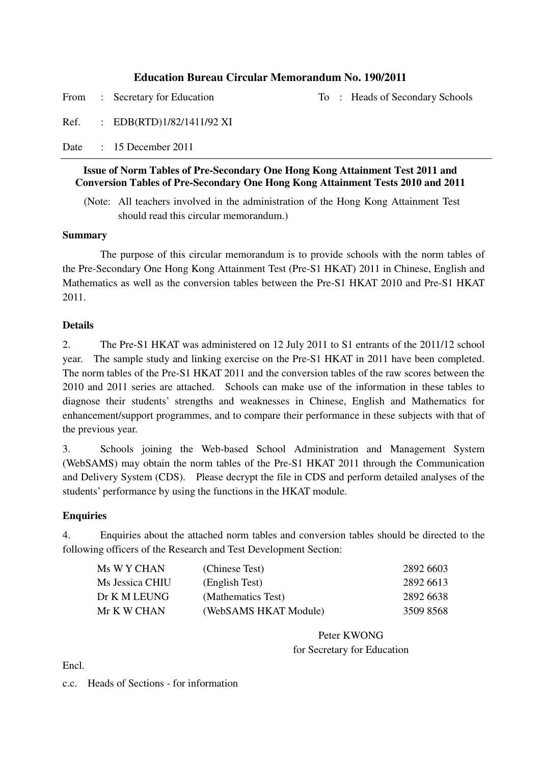#### **Education Bureau Circular Memorandum No. 190/2011**

From : Secretary for Education To : Heads of Secondary Schools

Ref. : EDB(RTD)1/82/1411/92 XI

Date : 15 December 2011

#### **Issue of Norm Tables of Pre-Secondary One Hong Kong Attainment Test 2011 and Conversion Tables of Pre-Secondary One Hong Kong Attainment Tests 2010 and 2011**

(Note: All teachers involved in the administration of the Hong Kong Attainment Test should read this circular memorandum.)

#### **Summary**

The purpose of this circular memorandum is to provide schools with the norm tables of the Pre-Secondary One Hong Kong Attainment Test (Pre-S1 HKAT) 2011 in Chinese, English and Mathematics as well as the conversion tables between the Pre-S1 HKAT 2010 and Pre-S1 HKAT 2011.

#### **Details**

2. The Pre-S1 HKAT was administered on 12 July 2011 to S1 entrants of the 2011/12 school year. The sample study and linking exercise on the Pre-S1 HKAT in 2011 have been completed. The norm tables of the Pre-S1 HKAT 2011 and the conversion tables of the raw scores between the 2010 and 2011 series are attached. Schools can make use of the information in these tables to diagnose their students' strengths and weaknesses in Chinese, English and Mathematics for enhancement/support programmes, and to compare their performance in these subjects with that of the previous year.

3. Schools joining the Web-based School Administration and Management System (WebSAMS) may obtain the norm tables of the Pre-S1 HKAT 2011 through the Communication and Delivery System (CDS). Please decrypt the file in CDS and perform detailed analyses of the students' performance by using the functions in the HKAT module.

#### **Enquiries**

4. Enquiries about the attached norm tables and conversion tables should be directed to the following officers of the Research and Test Development Section:

| Ms W Y CHAN     | (Chinese Test)        | 2892 6603 |
|-----------------|-----------------------|-----------|
| Ms Jessica CHIU | (English Test)        | 2892 6613 |
| Dr K M LEUNG    | (Mathematics Test)    | 2892 6638 |
| Mr K W CHAN     | (WebSAMS HKAT Module) | 3509 8568 |

Peter KWONG for Secretary for Education

Encl.

c.c. Heads of Sections - for information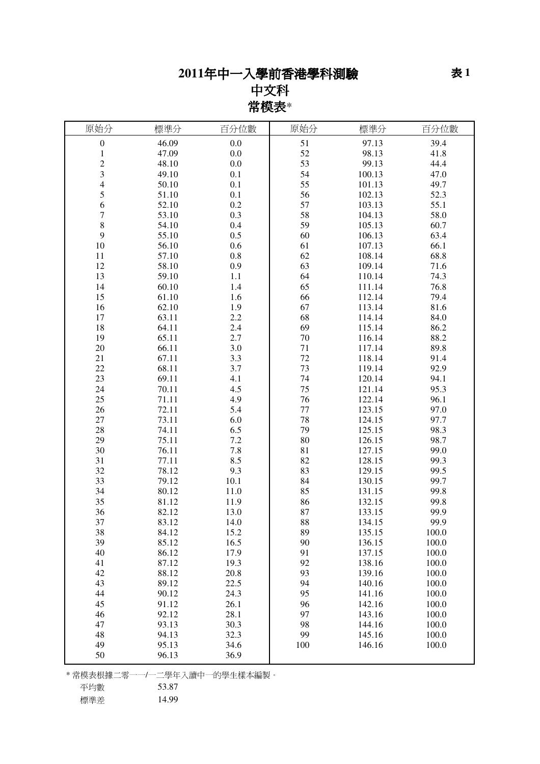# 年中一入學前香港學科測驗

中文科 常模表\*

| 原始分                     | 標準分   | 百分位數                         | 原始分 | 標準分    | 百分位數  |
|-------------------------|-------|------------------------------|-----|--------|-------|
| $\boldsymbol{0}$        | 46.09 | 0.0                          | 51  | 97.13  | 39.4  |
| $\mathbf{1}$            | 47.09 | 0.0                          | 52  | 98.13  | 41.8  |
| $\overline{c}$          | 48.10 | 0.0                          | 53  | 99.13  | 44.4  |
| 3                       | 49.10 | 0.1                          | 54  | 100.13 | 47.0  |
| $\overline{\mathbf{4}}$ | 50.10 | 0.1                          | 55  | 101.13 | 49.7  |
| 5                       | 51.10 | 0.1                          | 56  | 102.13 | 52.3  |
| 6                       | 52.10 | 0.2                          | 57  | 103.13 | 55.1  |
| 7                       | 53.10 | 0.3                          | 58  | 104.13 | 58.0  |
| $\,$ 8 $\,$             | 54.10 | 0.4                          | 59  | 105.13 | 60.7  |
| 9                       | 55.10 | 0.5                          | 60  | 106.13 | 63.4  |
| 10                      | 56.10 | 0.6                          | 61  | 107.13 | 66.1  |
| 11                      | 57.10 | 0.8                          | 62  | 108.14 | 68.8  |
| 12                      | 58.10 | 0.9                          | 63  | 109.14 | 71.6  |
| 13                      | 59.10 | 1.1                          | 64  | 110.14 | 74.3  |
| 14                      | 60.10 | 1.4                          | 65  | 111.14 | 76.8  |
| 15                      | 61.10 | 1.6                          | 66  | 112.14 | 79.4  |
| 16                      | 62.10 | 1.9                          | 67  | 113.14 | 81.6  |
| 17                      | 63.11 | 2.2                          | 68  | 114.14 | 84.0  |
| 18                      | 64.11 | 2.4                          | 69  | 115.14 | 86.2  |
| 19                      | 65.11 | 2.7                          | 70  | 116.14 | 88.2  |
| 20                      | 66.11 | 3.0                          | 71  | 117.14 | 89.8  |
| 21                      | 67.11 | 3.3                          | 72  | 118.14 | 91.4  |
| 22                      | 68.11 | 3.7                          | 73  | 119.14 | 92.9  |
| 23                      | 69.11 | 4.1                          | 74  | 120.14 | 94.1  |
| 24                      | 70.11 | 4.5                          | 75  | 121.14 | 95.3  |
| 25                      | 71.11 | 4.9                          | 76  | 122.14 | 96.1  |
| 26                      | 72.11 | 5.4                          | 77  | 123.15 | 97.0  |
| 27                      | 73.11 | 6.0                          | 78  | 124.15 | 97.7  |
| 28                      | 74.11 | 6.5                          | 79  | 125.15 | 98.3  |
| 29                      | 75.11 | 7.2                          | 80  | 126.15 | 98.7  |
| 30                      | 76.11 | 7.8                          | 81  | 127.15 | 99.0  |
| 31                      | 77.11 | 8.5                          | 82  | 128.15 | 99.3  |
| 32                      | 78.12 | 9.3                          | 83  | 129.15 | 99.5  |
| 33                      | 79.12 | 10.1                         | 84  | 130.15 | 99.7  |
| 34                      | 80.12 | 11.0                         | 85  | 131.15 | 99.8  |
| 35                      | 81.12 | 11.9                         | 86  | 132.15 | 99.8  |
| 36                      | 82.12 | 13.0                         | 87  | 133.15 | 99.9  |
| 37                      | 83.12 | 14.0                         | 88  | 134.15 | 99.9  |
| 38                      | 84.12 | 15.2                         | 89  | 135.15 | 100.0 |
| 39                      | 85.12 | 16.5                         | 90  | 136.15 | 100.0 |
| 40                      | 86.12 | 17.9                         | 91  | 137.15 | 100.0 |
| 41                      | 87.12 | 19.3                         | 92  | 138.16 | 100.0 |
| 42                      | 88.12 | 20.8                         | 93  | 139.16 | 100.0 |
| 43                      | 89.12 | 22.5                         | 94  | 140.16 | 100.0 |
| 44                      | 90.12 | 24.3                         | 95  | 141.16 | 100.0 |
| 45                      | 91.12 | 26.1                         | 96  | 142.16 | 100.0 |
| 46                      | 92.12 | 28.1                         | 97  | 143.16 | 100.0 |
| 47                      | 93.13 | 30.3                         | 98  | 144.16 | 100.0 |
| 48                      | 94.13 | 32.3                         | 99  | 145.16 | 100.0 |
| 49                      | 95.13 | 34.6                         | 100 | 146.16 | 100.0 |
| 50                      | 96.13 | 36.9                         |     |        |       |
|                         |       |                              |     |        |       |
|                         |       | * 常模表根據二零一一/一二學年入讀中一的學生樣本編製。 |     |        |       |
| 平均數                     | 53.87 |                              |     |        |       |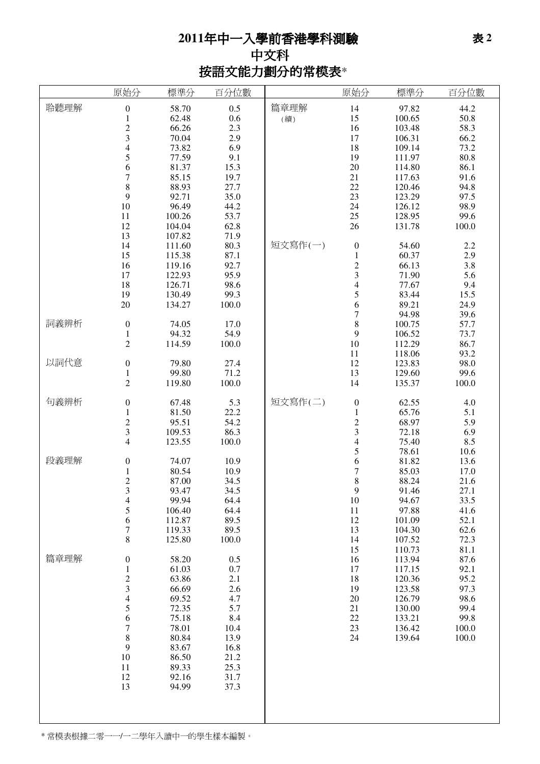## 年中一入學前香港學科測驗 中文科 按語文能力劃分的常模表\*

|      | 原始分                      | 標準分    | 百分位數  |         | 原始分                      | 標準分    | 百分位數  |
|------|--------------------------|--------|-------|---------|--------------------------|--------|-------|
| 聆聽理解 | $\boldsymbol{0}$         | 58.70  | 0.5   | 篇章理解    | 14                       | 97.82  | 44.2  |
|      | $\mathbf{1}$             | 62.48  | 0.6   | (續)     | 15                       | 100.65 | 50.8  |
|      | $\overline{c}$           | 66.26  | 2.3   |         | 16                       | 103.48 | 58.3  |
|      | 3                        | 70.04  | 2.9   |         | 17                       | 106.31 | 66.2  |
|      | $\overline{\mathcal{L}}$ | 73.82  | 6.9   |         | 18                       | 109.14 | 73.2  |
|      | 5                        | 77.59  | 9.1   |         | 19                       | 111.97 | 80.8  |
|      | 6                        | 81.37  | 15.3  |         | $20\,$                   | 114.80 | 86.1  |
|      | $\overline{7}$           | 85.15  | 19.7  |         | 21                       | 117.63 | 91.6  |
|      | $\,$ 8 $\,$              | 88.93  | 27.7  |         | 22                       | 120.46 | 94.8  |
|      | 9                        | 92.71  | 35.0  |         | 23                       | 123.29 | 97.5  |
|      | 10                       | 96.49  | 44.2  |         | 24                       | 126.12 | 98.9  |
|      | 11                       | 100.26 | 53.7  |         | $25\,$                   | 128.95 | 99.6  |
|      | 12                       | 104.04 | 62.8  |         | 26                       | 131.78 | 100.0 |
|      | 13                       | 107.82 | 71.9  |         |                          |        |       |
|      | 14                       | 111.60 | 80.3  | 短文寫作(一) | $\boldsymbol{0}$         | 54.60  | 2.2   |
|      | 15                       | 115.38 | 87.1  |         | $\mathbf 1$              | 60.37  | 2.9   |
|      | 16                       | 119.16 | 92.7  |         | $\frac{2}{3}$            | 66.13  | 3.8   |
|      | 17                       | 122.93 | 95.9  |         |                          | 71.90  | 5.6   |
|      | 18                       | 126.71 | 98.6  |         | $\overline{\mathcal{L}}$ | 77.67  | 9.4   |
|      | 19                       | 130.49 | 99.3  |         | $\frac{5}{6}$            | 83.44  | 15.5  |
|      | 20                       | 134.27 | 100.0 |         |                          | 89.21  | 24.9  |
|      |                          |        |       |         | $\overline{7}$           | 94.98  | 39.6  |
| 詞義辨析 | $\boldsymbol{0}$         | 74.05  | 17.0  |         | 8                        | 100.75 | 57.7  |
|      | $\mathbf{1}$             | 94.32  | 54.9  |         | 9                        | 106.52 | 73.7  |
|      | $\overline{c}$           | 114.59 | 100.0 |         | 10                       | 112.29 | 86.7  |
|      |                          |        |       |         | 11                       | 118.06 | 93.2  |
| 以詞代意 | $\boldsymbol{0}$         | 79.80  | 27.4  |         | 12                       | 123.83 | 98.0  |
|      | $\mathbf{1}$             | 99.80  | 71.2  |         | 13                       | 129.60 | 99.6  |
|      | $\overline{2}$           | 119.80 | 100.0 |         | 14                       | 135.37 | 100.0 |
| 句義辨析 | $\boldsymbol{0}$         | 67.48  | 5.3   | 短文寫作(二) | $\boldsymbol{0}$         | 62.55  | 4.0   |
|      | $\mathbf{1}$             | 81.50  | 22.2  |         | $\mathbf{1}$             | 65.76  | 5.1   |
|      | $\overline{c}$           | 95.51  | 54.2  |         |                          | 68.97  | 5.9   |
|      | 3                        | 109.53 | 86.3  |         | $\frac{2}{3}$            | 72.18  | 6.9   |
|      | 4                        | 123.55 | 100.0 |         | $\overline{\mathcal{L}}$ | 75.40  | 8.5   |
|      |                          |        |       |         | 5                        | 78.61  | 10.6  |
| 段義理解 | $\boldsymbol{0}$         | 74.07  | 10.9  |         | 6                        | 81.82  | 13.6  |
|      | $\mathbf{1}$             | 80.54  | 10.9  |         | $\overline{7}$           | 85.03  | 17.0  |
|      | $\overline{c}$           | 87.00  | 34.5  |         | 8                        | 88.24  | 21.6  |
|      | 3                        | 93.47  | 34.5  |         | 9                        | 91.46  | 27.1  |
|      | 4                        | 99.94  | 64.4  |         | 10                       | 94.67  | 33.5  |
|      | 5                        | 106.40 | 64.4  |         | 11                       | 97.88  | 41.6  |
|      | 6                        | 112.87 | 89.5  |         | 12                       | 101.09 | 52.1  |
|      | 7                        | 119.33 | 89.5  |         | 13                       | 104.30 | 62.6  |
|      | 8                        | 125.80 | 100.0 |         | 14                       | 107.52 | 72.3  |
|      |                          |        |       |         | 15                       | 110.73 | 81.1  |
| 篇章理解 | $\boldsymbol{0}$         | 58.20  | 0.5   |         | 16                       | 113.94 | 87.6  |
|      | $\mathbf{1}$             | 61.03  | 0.7   |         | 17                       | 117.15 | 92.1  |
|      | $\overline{\mathbf{c}}$  | 63.86  | 2.1   |         | 18                       | 120.36 | 95.2  |
|      | 3                        | 66.69  | 2.6   |         | 19                       | 123.58 | 97.3  |
|      | 4                        | 69.52  | 4.7   |         | 20                       | 126.79 | 98.6  |
|      | 5                        | 72.35  | 5.7   |         | $21\,$                   | 130.00 | 99.4  |
|      | 6                        | 75.18  | 8.4   |         | 22                       | 133.21 | 99.8  |
|      | $\boldsymbol{7}$         | 78.01  | 10.4  |         | 23                       | 136.42 | 100.0 |
|      | $\,8$                    | 80.84  | 13.9  |         | 24                       | 139.64 | 100.0 |
|      | 9                        | 83.67  | 16.8  |         |                          |        |       |
|      | 10                       | 86.50  | 21.2  |         |                          |        |       |
|      | 11                       | 89.33  | 25.3  |         |                          |        |       |
|      | 12                       | 92.16  | 31.7  |         |                          |        |       |
|      | 13                       | 94.99  | 37.3  |         |                          |        |       |
|      |                          |        |       |         |                          |        |       |
|      |                          |        |       |         |                          |        |       |
|      |                          |        |       |         |                          |        |       |

\* 常模表根據二零一一/一二學年入讀中一的學生樣本編製。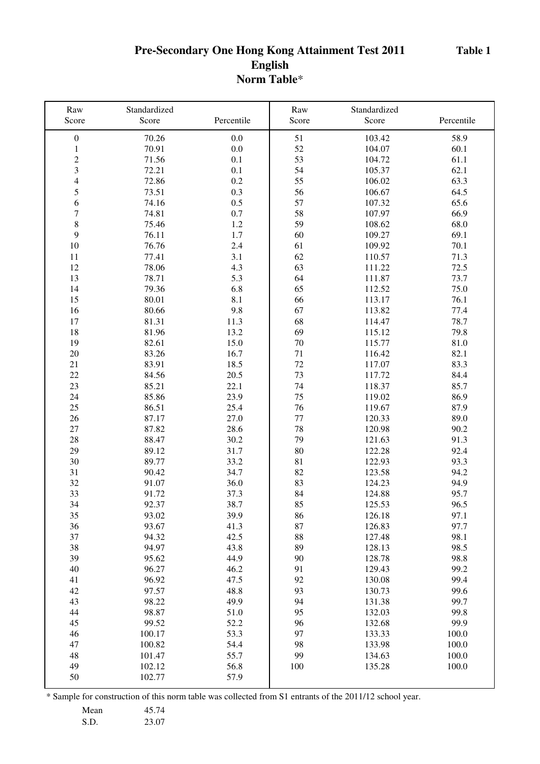### **Pre-Secondary One Hong Kong Attainment Test 2011 English Norm Table**\*

| Raw<br>Score     | Standardized<br>Score | Percentile   | Raw<br>Score | Standardized<br>Score | Percentile   |
|------------------|-----------------------|--------------|--------------|-----------------------|--------------|
| $\boldsymbol{0}$ | 70.26                 | 0.0          | 51           | 103.42                | 58.9         |
| $\mathbf{1}$     | 70.91                 | 0.0          | 52           | 104.07                | 60.1         |
| $\sqrt{2}$       | 71.56                 | 0.1          | 53           | 104.72                | 61.1         |
| 3                | 72.21                 | 0.1          | 54           | 105.37                | 62.1         |
| $\overline{4}$   | 72.86                 | 0.2          | 55           | 106.02                | 63.3         |
| 5                | 73.51                 | 0.3          | 56           | 106.67                | 64.5         |
| 6                | 74.16                 | 0.5          | 57           | 107.32                | 65.6         |
| $\overline{7}$   | 74.81                 | 0.7          | 58           | 107.97                | 66.9         |
| 8                | 75.46                 | 1.2          | 59           | 108.62                | 68.0         |
| 9                | 76.11                 | 1.7          | 60           | 109.27                | 69.1         |
| 10               | 76.76                 | 2.4          | 61           | 109.92                | 70.1         |
| 11               | 77.41                 | 3.1          | 62           | 110.57                | 71.3         |
| 12               | 78.06                 | 4.3          | 63           | 111.22                | 72.5         |
| 13               | 78.71                 | 5.3          | 64           | 111.87                | 73.7         |
| 14               | 79.36                 | 6.8          | 65           | 112.52                | 75.0         |
| 15               | 80.01                 | 8.1          | 66           | 113.17                | 76.1         |
| 16               | 80.66                 | 9.8          | 67           | 113.82                | 77.4         |
| 17               | 81.31                 | 11.3         | 68           | 114.47                | 78.7         |
| 18               | 81.96                 | 13.2         | 69           | 115.12                | 79.8         |
| 19               | 82.61                 | 15.0         | 70           | 115.77                | 81.0         |
| 20               | 83.26                 | 16.7         | 71           | 116.42                | 82.1         |
| 21               | 83.91                 | 18.5         | 72           | 117.07                | 83.3         |
| 22               | 84.56                 | 20.5         | 73           | 117.72                | 84.4         |
| 23               | 85.21                 | 22.1         | 74           | 118.37                | 85.7         |
| 24               | 85.86                 | 23.9         | 75           | 119.02                | 86.9         |
| 25               | 86.51                 | 25.4         | 76           | 119.67                | 87.9         |
| 26               | 87.17                 | 27.0         | $77 \,$      | 120.33                | 89.0         |
| 27               | 87.82                 | 28.6         | 78           | 120.98                | 90.2         |
| 28               | 88.47                 | 30.2         | 79           | 121.63                | 91.3         |
| 29               | 89.12                 | 31.7         | 80           | 122.28                | 92.4         |
| 30               | 89.77                 | 33.2         | 81           | 122.93                | 93.3         |
| 31               | 90.42                 | 34.7         | 82           | 123.58                | 94.2         |
| 32               | 91.07                 | 36.0         | 83           | 124.23                | 94.9         |
| 33               | 91.72                 | 37.3         | 84           | 124.88                | 95.7         |
| 34               | 92.37                 | 38.7         | 85           | 125.53                | 96.5         |
| 35               | 93.02                 | 39.9         | 86           | 126.18                | 97.1         |
| 36               | 93.67                 | 41.3         | 87           | 126.83                | 97.7         |
| 37<br>38         | 94.32<br>94.97        | 42.5         | 88           | 127.48                | 98.1         |
|                  | 95.62                 | 43.8         | 89<br>90     | 128.13                | 98.5         |
| 39<br>40         | 96.27                 | 44.9<br>46.2 | 91           | 128.78<br>129.43      | 98.8<br>99.2 |
| 41               | 96.92                 | 47.5         | 92           | 130.08                | 99.4         |
| 42               | 97.57                 | 48.8         | 93           | 130.73                | 99.6         |
| 43               | 98.22                 | 49.9         | 94           | 131.38                | 99.7         |
| 44               | 98.87                 | 51.0         | 95           | 132.03                | 99.8         |
| 45               | 99.52                 | 52.2         | 96           | 132.68                | 99.9         |
| 46               | 100.17                | 53.3         | 97           | 133.33                | 100.0        |
| 47               | 100.82                | 54.4         | 98           | 133.98                | 100.0        |
| 48               | 101.47                | 55.7         | 99           | 134.63                | 100.0        |
| 49               | 102.12                | 56.8         | 100          | 135.28                | 100.0        |
| 50               | 102.77                | 57.9         |              |                       |              |
|                  |                       |              |              |                       |              |

Mean 45.74

S.D. 23.07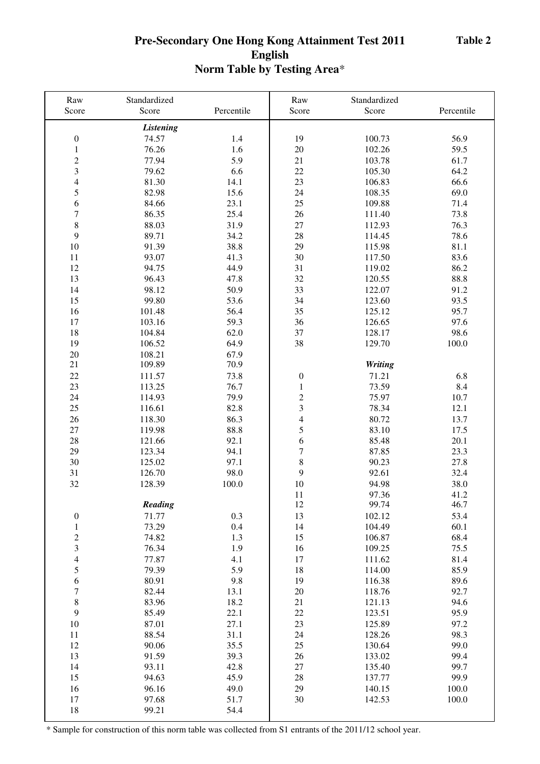## **Pre-Secondary One Hong Kong Attainment Test 2011 English Norm Table by Testing Area**\*

| Raw                      | Standardized     |              | Raw                      | Standardized   |            |
|--------------------------|------------------|--------------|--------------------------|----------------|------------|
| Score                    | Score            | Percentile   | Score                    | Score          | Percentile |
|                          | <b>Listening</b> |              |                          |                |            |
| $\boldsymbol{0}$         | 74.57            | 1.4          | 19                       | 100.73         | 56.9       |
| $\,1$                    | 76.26            | 1.6          | 20                       | 102.26         | 59.5       |
| $\overline{c}$           | 77.94            | 5.9          | 21                       | 103.78         | 61.7       |
| 3                        | 79.62            | 6.6          | 22                       | 105.30         | 64.2       |
| $\overline{4}$           | 81.30            | 14.1         | 23                       | 106.83         | 66.6       |
| 5                        | 82.98            | 15.6         | 24                       | 108.35         | 69.0       |
| 6                        | 84.66            | 23.1         | 25                       | 109.88         | 71.4       |
| $\sqrt{ }$               | 86.35            | 25.4         | 26                       | 111.40         | 73.8       |
| $\,$ 8 $\,$              | 88.03            | 31.9         | 27                       | 112.93         | 76.3       |
| 9                        | 89.71            | 34.2         | 28                       | 114.45         | 78.6       |
| $10\,$                   | 91.39            | 38.8         | 29                       | 115.98         | 81.1       |
| 11                       | 93.07            | 41.3         | 30                       | 117.50         | 83.6       |
| 12                       | 94.75            | 44.9         | 31                       | 119.02         | 86.2       |
| 13                       | 96.43            | 47.8         | 32                       | 120.55         | 88.8       |
| 14                       | 98.12            | 50.9         | 33                       | 122.07         | 91.2       |
| 15                       | 99.80            | 53.6         | 34                       | 123.60         | 93.5       |
| 16                       | 101.48           | 56.4         | 35                       | 125.12         | 95.7       |
| 17                       | 103.16           | 59.3         | 36                       | 126.65         | 97.6       |
| 18                       | 104.84           | 62.0         | 37                       | 128.17         | 98.6       |
| 19                       | 106.52           | 64.9         | 38                       | 129.70         | 100.0      |
| $20\,$                   | 108.21           | 67.9         |                          |                |            |
| 21                       | 109.89           | 70.9         |                          | <b>Writing</b> |            |
|                          |                  |              |                          |                |            |
| 22                       | 111.57           | 73.8<br>76.7 | $\boldsymbol{0}$         | 71.21          | 6.8        |
| 23                       | 113.25           |              | $\,1$                    | 73.59          | 8.4        |
| 24                       | 114.93           | 79.9         | $\frac{2}{3}$            | 75.97          | 10.7       |
| 25                       | 116.61           | 82.8         |                          | 78.34          | 12.1       |
| 26                       | 118.30           | 86.3         | $\overline{\mathcal{L}}$ | 80.72          | 13.7       |
| 27                       | 119.98           | 88.8         | 5                        | 83.10          | 17.5       |
| 28                       | 121.66           | 92.1         | 6                        | 85.48          | 20.1       |
| 29                       | 123.34           | 94.1         | $\overline{7}$           | 87.85          | 23.3       |
| 30                       | 125.02           | 97.1         | 8                        | 90.23          | 27.8       |
| 31                       | 126.70           | 98.0         | 9                        | 92.61          | 32.4       |
| 32                       | 128.39           | 100.0        | 10                       | 94.98          | 38.0       |
|                          |                  |              | 11                       | 97.36          | 41.2       |
|                          | Reading          |              | 12                       | 99.74          | 46.7       |
| $\boldsymbol{0}$         | 71.77            | 0.3          | 13                       | 102.12         | 53.4       |
| $\mathbf{1}$             | 73.29            | 0.4          | 14                       | 104.49         | 60.1       |
| $\overline{c}$           | 74.82            | 1.3          | 15                       | 106.87         | 68.4       |
| 3                        | 76.34            | 1.9          | 16                       | 109.25         | 75.5       |
| $\overline{\mathcal{L}}$ | 77.87            | 4.1          | 17                       | 111.62         | 81.4       |
| 5                        | 79.39            | 5.9          | 18                       | 114.00         | 85.9       |
| 6                        | 80.91            | 9.8          | 19                       | 116.38         | 89.6       |
| $\boldsymbol{7}$         | 82.44            | 13.1         | $20\,$                   | 118.76         | 92.7       |
| $\,$ 8 $\,$              | 83.96            | 18.2         | 21                       | 121.13         | 94.6       |
| 9                        | 85.49            | 22.1         | 22                       | 123.51         | 95.9       |
| 10                       | 87.01            | 27.1         | 23                       | 125.89         | 97.2       |
| 11                       | 88.54            | 31.1         | 24                       | 128.26         | 98.3       |
| 12                       | 90.06            | 35.5         | 25                       | 130.64         | 99.0       |
| 13                       | 91.59            | 39.3         | 26                       | 133.02         | 99.4       |
| 14                       | 93.11            | 42.8         | $27\,$                   | 135.40         | 99.7       |
| 15                       | 94.63            | 45.9         | 28                       | 137.77         | 99.9       |
| 16                       | 96.16            | 49.0         | 29                       | 140.15         | 100.0      |
| 17                       | 97.68            | 51.7         | 30                       | 142.53         | 100.0      |
| 18                       | 99.21            | 54.4         |                          |                |            |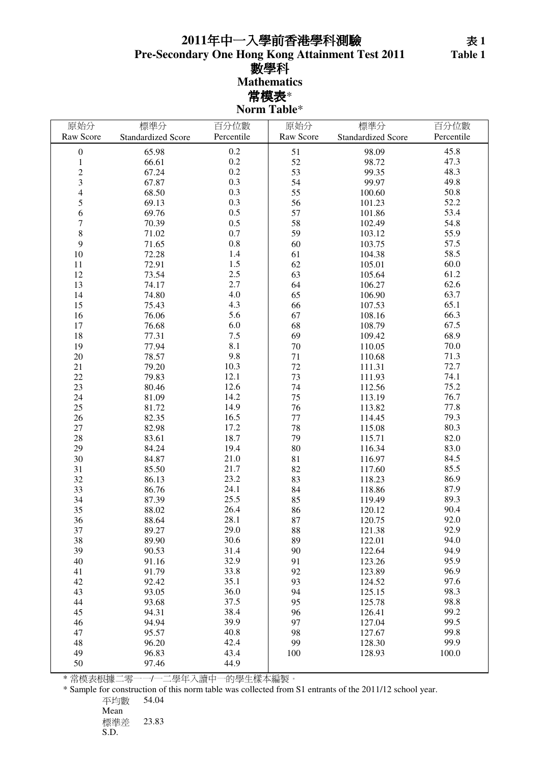## 年中一入學前香港學科測驗

**Pre-Secondary One Hong Kong Attainment Test 2011**

數學科 **Mathematics** 常模表\*

**Norm Table**\*

| 原始分                      | 標準分                       | 百分位數       | 原始分       | 標準分                       | 百分位數       |
|--------------------------|---------------------------|------------|-----------|---------------------------|------------|
| Raw Score                | <b>Standardized Score</b> | Percentile | Raw Score | <b>Standardized Score</b> | Percentile |
| $\boldsymbol{0}$         | 65.98                     | 0.2        | 51        | 98.09                     | 45.8       |
| $\mathbf{1}$             | 66.61                     | 0.2        | 52        | 98.72                     | 47.3       |
| $\overline{c}$           | 67.24                     | 0.2        | 53        | 99.35                     | 48.3       |
| 3                        | 67.87                     | 0.3        | 54        | 99.97                     | 49.8       |
| $\overline{\mathcal{L}}$ | 68.50                     | 0.3        | 55        | 100.60                    | 50.8       |
| 5                        | 69.13                     | 0.3        | 56        | 101.23                    | 52.2       |
| 6                        | 69.76                     | 0.5        | 57        | 101.86                    | 53.4       |
| $\overline{7}$           | 70.39                     | 0.5        | 58        | 102.49                    | 54.8       |
| $\,$ 8 $\,$              | 71.02                     | 0.7        | 59        | 103.12                    | 55.9       |
| 9                        | 71.65                     | $0.8\,$    | 60        | 103.75                    | 57.5       |
| $10\,$                   | 72.28                     | 1.4        | 61        | 104.38                    | 58.5       |
| 11                       | 72.91                     | $1.5$      | 62        | 105.01                    | 60.0       |
| 12                       | 73.54                     | 2.5        | 63        | 105.64                    | 61.2       |
| 13                       | 74.17                     | 2.7        | 64        | 106.27                    | 62.6       |
| 14                       | 74.80                     | 4.0        | 65        | 106.90                    | 63.7       |
| 15                       | 75.43                     | 4.3        | 66        | 107.53                    | 65.1       |
| 16                       | 76.06                     | 5.6        | 67        | 108.16                    | 66.3       |
| 17                       | 76.68                     | 6.0        | 68        | 108.79                    | 67.5       |
| 18                       | 77.31                     | $7.5\,$    | 69        | 109.42                    | 68.9       |
| 19                       | 77.94                     | 8.1        | 70        | 110.05                    | 70.0       |
| $20\,$                   | 78.57                     | 9.8        | $71\,$    | 110.68                    | 71.3       |
| 21                       | 79.20                     | 10.3       | 72        | 111.31                    | 72.7       |
| 22                       | 79.83                     | 12.1       | 73        | 111.93                    | 74.1       |
| 23                       | 80.46                     | 12.6       | 74        | 112.56                    | 75.2       |
| 24                       | 81.09                     | 14.2       | 75        | 113.19                    | 76.7       |
| 25                       | 81.72                     | 14.9       | 76        | 113.82                    | 77.8       |
| 26                       | 82.35                     | 16.5       | 77        | 114.45                    | 79.3       |
| 27                       | 82.98                     | 17.2       | 78        | 115.08                    | 80.3       |
| 28                       | 83.61                     | 18.7       | 79        | 115.71                    | 82.0       |
| 29                       | 84.24                     | 19.4       | 80        | 116.34                    | 83.0       |
| 30                       | 84.87                     | 21.0       | 81        | 116.97                    | 84.5       |
| 31                       | 85.50                     | 21.7       | 82        | 117.60                    | 85.5       |
| 32                       | 86.13                     | 23.2       | 83        | 118.23                    | 86.9       |
| 33                       | 86.76                     | 24.1       | 84        | 118.86                    | 87.9       |
| 34                       | 87.39                     | 25.5       | 85        | 119.49                    | 89.3       |
| 35                       | 88.02                     | 26.4       | 86        | 120.12                    | 90.4       |
| 36                       | 88.64                     | 28.1       | 87        | 120.75                    | 92.0       |
| 37                       | 89.27                     | 29.0       | 88        | 121.38                    | 92.9       |
| 38                       | 89.90                     | 30.6       | 89        | 122.01                    | 94.0       |
| 39                       | 90.53                     | 31.4       | 90        | 122.64                    | 94.9       |
| 40                       | 91.16                     | 32.9       | 91        | 123.26                    | 95.9       |
| 41                       | 91.79                     | 33.8       | 92        | 123.89                    | 96.9       |
| 42                       | 92.42                     | 35.1       | 93        | 124.52                    | 97.6       |
| 43                       | 93.05                     | 36.0       | 94        | 125.15                    | 98.3       |
| 44                       | 93.68                     | 37.5       | 95        | 125.78                    | 98.8       |
| 45                       | 94.31                     | 38.4       | 96        | 126.41                    | 99.2       |
| 46                       | 94.94                     | 39.9       | 97        | 127.04                    | 99.5       |
| 47                       | 95.57                     | 40.8       | 98        | 127.67                    | 99.8       |
| 48                       | 96.20                     | 42.4       | 99        | 128.30                    | 99.9       |
| 49                       | 96.83                     | 43.4       | 100       | 128.93                    | 100.0      |
| 50                       | 97.46                     | 44.9       |           |                           |            |

\* 常模表根據二零一一/一二學年入讀中一的學生樣本編製。

\* Sample for construction of this norm table was collected from S1 entrants of the 2011/12 school year.

平均數 54.04

Mean 標準差 23.83

```
S.D.
```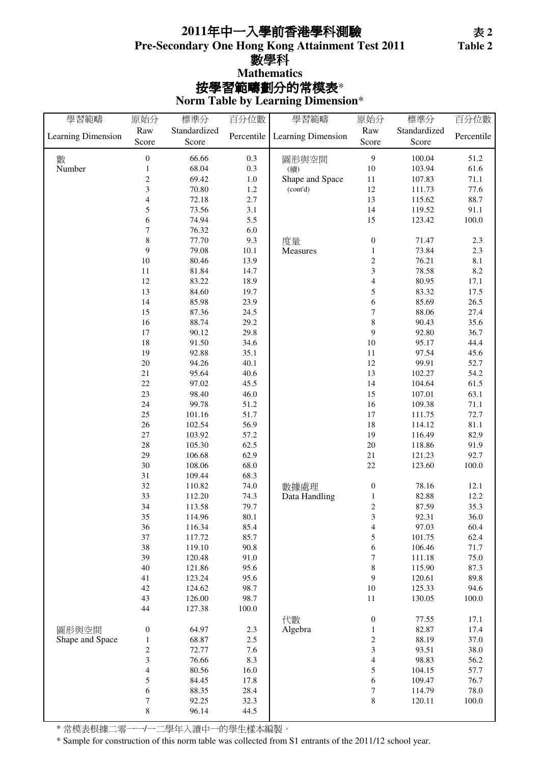### **Pre-Secondary One Hong Kong Attainment Test 2011** 按學習範疇劃分的常模表\* **Mathematics** 年中一入學前香港學科測驗 數學科

**Norm Table by Learning Dimension**\*

| 學習範疇               | 原始分                              | 標準分          | 百分位數       | 學習範疇                   | 原始分                      | 標準分              | 百分位數         |
|--------------------|----------------------------------|--------------|------------|------------------------|--------------------------|------------------|--------------|
|                    | Raw                              | Standardized |            |                        | Raw                      | Standardized     |              |
| Learning Dimension | Score                            | Score        | Percentile | Learning Dimension     | Score                    | Score            | Percentile   |
|                    |                                  | 66.66        |            |                        | 9                        |                  |              |
| 數<br>Number        | $\boldsymbol{0}$<br>$\mathbf{1}$ | 68.04        | 0.3<br>0.3 | 圖形與空間                  | 10                       | 100.04<br>103.94 | 51.2<br>61.6 |
|                    | $\overline{c}$                   | 69.42        |            | (續)<br>Shape and Space |                          |                  |              |
|                    |                                  |              | $1.0\,$    |                        | 11                       | 107.83           | 71.1         |
|                    | 3                                | 70.80        | 1.2        | (cont'd)               | 12                       | 111.73           | 77.6         |
|                    | $\overline{\mathcal{L}}$         | 72.18        | 2.7        |                        | 13                       | 115.62           | 88.7         |
|                    | 5                                | 73.56        | 3.1        |                        | 14                       | 119.52           | 91.1         |
|                    | 6                                | 74.94        | 5.5        |                        | 15                       | 123.42           | $100.0\,$    |
|                    | 7                                | 76.32        | 6.0        |                        |                          |                  |              |
|                    | 8                                | 77.70        | 9.3        | 度量                     | $\boldsymbol{0}$         | 71.47            | $2.3\,$      |
|                    | 9                                | 79.08        | 10.1       | Measures               | $\mathbf{1}$             | 73.84            | $2.3\,$      |
|                    | $10\,$                           | 80.46        | 13.9       |                        | $\sqrt{2}$               | 76.21            | $8.1\,$      |
|                    | $11\,$                           | 81.84        | 14.7       |                        | $\overline{\mathbf{3}}$  | 78.58            | $8.2\,$      |
|                    | 12                               | 83.22        | 18.9       |                        | $\overline{4}$           | 80.95            | 17.1         |
|                    | 13                               | 84.60        | 19.7       |                        | 5                        | 83.32            | 17.5         |
|                    | 14                               | 85.98        | 23.9       |                        | 6                        | 85.69            | 26.5         |
|                    | 15                               | 87.36        | 24.5       |                        | $\sqrt{ }$               | 88.06            | 27.4         |
|                    | 16                               | 88.74        | 29.2       |                        | $\,$ 8 $\,$              | 90.43            | 35.6         |
|                    | 17                               | 90.12        | 29.8       |                        | 9                        | 92.80            | 36.7         |
|                    | 18                               | 91.50        | 34.6       |                        | $10\,$                   | 95.17            | 44.4         |
|                    | 19                               | 92.88        | 35.1       |                        | $11\,$                   | 97.54            | 45.6         |
|                    | $20\,$                           | 94.26        | 40.1       |                        | 12                       | 99.91            | 52.7         |
|                    | 21                               | 95.64        | 40.6       |                        | 13                       | 102.27           | 54.2         |
|                    | 22                               | 97.02        | 45.5       |                        | 14                       | 104.64           | 61.5         |
|                    | 23                               | 98.40        | 46.0       |                        | 15                       | 107.01           | 63.1         |
|                    | 24                               | 99.78        | 51.2       |                        | 16                       | 109.38           | 71.1         |
|                    | 25                               | 101.16       | 51.7       |                        | 17                       | 111.75           | 72.7         |
|                    | $26\,$                           | 102.54       | 56.9       |                        | 18                       | 114.12           | 81.1         |
|                    | $27\,$                           | 103.92       | 57.2       |                        | 19                       | 116.49           | 82.9         |
|                    | 28                               | 105.30       | 62.5       |                        | $20\,$                   | 118.86           | 91.9         |
|                    | 29                               |              | 62.9       |                        |                          |                  |              |
|                    |                                  | 106.68       |            |                        | $21\,$                   | 121.23           | 92.7         |
|                    | 30                               | 108.06       | 68.0       |                        | 22                       | 123.60           | $100.0\,$    |
|                    | $31\,$                           | 109.44       | 68.3       |                        |                          |                  |              |
|                    | $32\,$                           | 110.82       | 74.0       | 數據處理                   | $\boldsymbol{0}$         | 78.16            | 12.1         |
|                    | 33                               | 112.20       | 74.3       | Data Handling          | $\,1\,$                  | 82.88            | 12.2         |
|                    | 34                               | 113.58       | 79.7       |                        | $\boldsymbol{2}$         | 87.59            | 35.3         |
|                    | 35                               | 114.96       | 80.1       |                        | 3                        | 92.31            | 36.0         |
|                    | 36                               | 116.34       | 85.4       |                        | 4                        | 97.03            | 60.4         |
|                    | 37                               | 117.72       | 85.7       |                        | 5                        | 101.75           | 62.4         |
|                    | 38                               | 119.10       | 90.8       |                        | 6                        | 106.46           | 71.7         |
|                    | 39                               | 120.48       | 91.0       |                        | $\boldsymbol{7}$         | 111.18           | 75.0         |
|                    | 40                               | 121.86       | 95.6       |                        | $\,8\,$                  | 115.90           | 87.3         |
|                    | 41                               | 123.24       | 95.6       |                        | 9                        | 120.61           | 89.8         |
|                    | 42                               | 124.62       | 98.7       |                        | $10\,$                   | 125.33           | 94.6         |
|                    | 43                               | 126.00       | 98.7       |                        | 11                       | 130.05           | 100.0        |
|                    | 44                               | 127.38       | 100.0      |                        |                          |                  |              |
|                    |                                  |              |            | 代數                     | $\boldsymbol{0}$         | 77.55            | 17.1         |
| 圖形與空間              | $\boldsymbol{0}$                 | 64.97        | 2.3        | Algebra                | $\,1\,$                  | 82.87            | 17.4         |
| Shape and Space    | $\mathbf{1}$                     | 68.87        | 2.5        |                        | $\overline{\mathbf{c}}$  | 88.19            | 37.0         |
|                    | $\boldsymbol{2}$                 | 72.77        | 7.6        |                        | 3                        | 93.51            | 38.0         |
|                    | 3                                | 76.66        | 8.3        |                        | $\overline{\mathcal{L}}$ | 98.83            | 56.2         |
|                    | $\overline{\mathbf{4}}$          | 80.56        | 16.0       |                        | 5                        | 104.15           | 57.7         |
|                    | 5                                | 84.45        | 17.8       |                        | 6                        | 109.47           | 76.7         |
|                    | 6                                | 88.35        | 28.4       |                        | $\boldsymbol{7}$         | 114.79           | $78.0\,$     |
|                    | $\boldsymbol{7}$                 | 92.25        | 32.3       |                        | $\,8\,$                  | 120.11           | $100.0\,$    |
|                    | $\,8\,$                          | 96.14        | 44.5       |                        |                          |                  |              |
|                    |                                  |              |            |                        |                          |                  |              |

\* 常模表根據二零一一/一二學年入讀中一的學生樣本編製。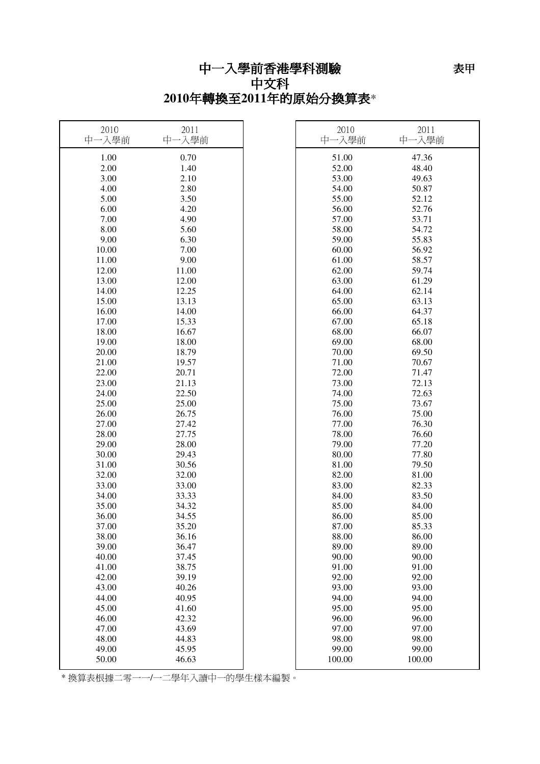## 中一入學前香港學科測驗

### 中文科 **2010**年轉換至**2011**年的原始分換算表\*

| 2010<br>中一入學前 | 2011<br>中一入學前 | 2010<br>中一入學前 | 2011<br>中一入學前 |
|---------------|---------------|---------------|---------------|
| 1.00          | 0.70          | 51.00         | 47.36         |
| 2.00          | 1.40          | 52.00         | 48.40         |
| 3.00          | 2.10          | 53.00         | 49.63         |
| 4.00          | 2.80          | 54.00         | 50.87         |
| 5.00          | 3.50          | 55.00         | 52.12         |
| 6.00          | 4.20          | 56.00         | 52.76         |
| 7.00          | 4.90          | 57.00         | 53.71         |
| 8.00          | 5.60          | 58.00         | 54.72         |
| 9.00          | 6.30          | 59.00         | 55.83         |
| 10.00         | 7.00          | 60.00         | 56.92         |
| 11.00         | 9.00          | 61.00         | 58.57         |
| 12.00         | 11.00         | 62.00         | 59.74         |
| 13.00         | 12.00         | 63.00         | 61.29         |
| 14.00         | 12.25         | 64.00         | 62.14         |
| 15.00         | 13.13         | 65.00         | 63.13         |
| 16.00         | 14.00         | 66.00         | 64.37         |
| 17.00         | 15.33         | 67.00         | 65.18         |
| 18.00         | 16.67         | 68.00         | 66.07         |
| 19.00         | 18.00         | 69.00         | 68.00         |
| 20.00         | 18.79         | 70.00         | 69.50         |
| 21.00         | 19.57         | 71.00         | 70.67         |
| 22.00         | 20.71         | 72.00         | 71.47         |
| 23.00         | 21.13         | 73.00         | 72.13         |
| 24.00         | 22.50         | 74.00         | 72.63         |
| 25.00         | 25.00         | 75.00         | 73.67         |
| 26.00         | 26.75         | 76.00         | 75.00         |
| 27.00         | 27.42         | 77.00         | 76.30         |
| 28.00         | 27.75         | 78.00         | 76.60         |
| 29.00         | 28.00         | 79.00         | 77.20         |
| 30.00         | 29.43         | 80.00         | 77.80         |
| 31.00         | 30.56         | 81.00         | 79.50         |
| 32.00         | 32.00         | 82.00         | 81.00         |
| 33.00         | 33.00         | 83.00         | 82.33         |
| 34.00         | 33.33         | 84.00         | 83.50         |
| 35.00         | 34.32         | 85.00         | 84.00         |
| 36.00         | 34.55         | 86.00         | 85.00         |
| 37.00         | 35.20         | 87.00         | 85.33         |
| 38.00         | 36.16         | 88.00         | 86.00         |
| 39.00         | 36.47         | 89.00         | 89.00         |
| 40.00         | 37.45         | 90.00         | 90.00         |
| 41.00         | 38.75         | 91.00         | 91.00         |
| 42.00         | 39.19         | 92.00         | 92.00         |
| 43.00         | 40.26         | 93.00         | 93.00         |
| 44.00         | 40.95         | 94.00         | 94.00         |
| 45.00         | 41.60         | 95.00         | 95.00         |
| 46.00         | 42.32         | 96.00         | 96.00         |
| 47.00         | 43.69         | 97.00         | 97.00         |
| 48.00         | 44.83         | 98.00         | 98.00         |
| 49.00         | 45.95         | 99.00         | 99.00         |
| 50.00         | 46.63         | 100.00        | 100.00        |

\* 換算表根據二零一一/一二學年入讀中一的學生樣本編製。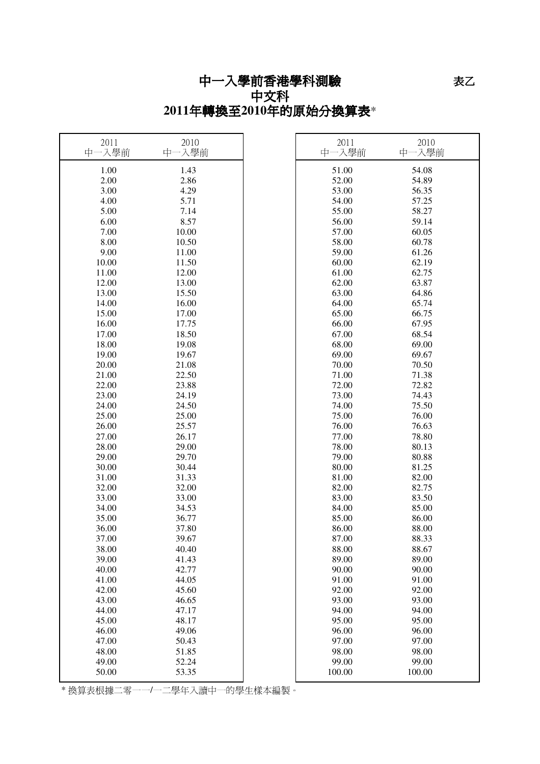## 中一入學前香港學科測驗 中文科 **2011**年轉換至**2010**年的原始分換算表\*

| 2011<br>中一入學前 | 2010<br>中一入學前 | 2011<br>中一入學前 | 2010<br>中一入學前 |
|---------------|---------------|---------------|---------------|
| 1.00          | 1.43          | 51.00         | 54.08         |
| 2.00          | 2.86          | 52.00         | 54.89         |
| 3.00          | 4.29          | 53.00         | 56.35         |
| 4.00          | 5.71          | 54.00         | 57.25         |
| 5.00          | 7.14          | 55.00         | 58.27         |
| 6.00          | 8.57          | 56.00         | 59.14         |
| 7.00          | 10.00         | 57.00         | 60.05         |
| 8.00          | 10.50         | 58.00         | 60.78         |
| 9.00          | 11.00         | 59.00         | 61.26         |
| 10.00         | 11.50         | 60.00         | 62.19         |
| 11.00         | 12.00         | 61.00         | 62.75         |
| 12.00         | 13.00         | 62.00         | 63.87         |
| 13.00         | 15.50         | 63.00         | 64.86         |
| 14.00         | 16.00         | 64.00         | 65.74         |
| 15.00         | 17.00         | 65.00         | 66.75         |
| 16.00         | 17.75         | 66.00         | 67.95         |
| 17.00         | 18.50         | 67.00         | 68.54         |
| 18.00         | 19.08         | 68.00         | 69.00         |
| 19.00         | 19.67         | 69.00         | 69.67         |
| 20.00         | 21.08         | 70.00         | 70.50         |
| $21.00\,$     | 22.50         | 71.00         | 71.38         |
| 22.00         | 23.88         | 72.00         | 72.82         |
| 23.00         | 24.19         | 73.00         | 74.43         |
| 24.00         | 24.50         | 74.00         | 75.50         |
| 25.00         | 25.00         | 75.00         | 76.00         |
| 26.00         | 25.57         | 76.00         | 76.63         |
| 27.00         | 26.17         | 77.00         | 78.80         |
| 28.00         | 29.00         | 78.00         | 80.13         |
| 29.00         | 29.70         | 79.00         | 80.88         |
| 30.00         | 30.44         | 80.00         | 81.25         |
| 31.00         | 31.33         | 81.00         | 82.00         |
| 32.00         | 32.00         | 82.00         | 82.75         |
| 33.00         | 33.00         | 83.00         | 83.50         |
| 34.00         | 34.53         | 84.00         | 85.00         |
| 35.00         | 36.77         | 85.00         | 86.00         |
| 36.00         | 37.80         | 86.00         | 88.00         |
| 37.00         | 39.67         | 87.00         | 88.33         |
| 38.00         | 40.40         | 88.00         | 88.67         |
| 39.00         | 41.43         | 89.00         | 89.00         |
| 40.00         | 42.77         | 90.00         | 90.00         |
| 41.00         | 44.05         | 91.00         | 91.00         |
| 42.00         | 45.60         | 92.00         | 92.00         |
| 43.00         | 46.65         | 93.00         | 93.00         |
| 44.00         | 47.17         | 94.00         | 94.00         |
| 45.00         | 48.17         | 95.00         | 95.00         |
| 46.00         | 49.06         | 96.00         | 96.00         |
| 47.00         | 50.43         | 97.00         | 97.00         |
| 48.00         | 51.85         | 98.00         | 98.00         |
| 49.00         | 52.24         | 99.00         | 99.00         |
| 50.00         | 53.35         | 100.00        | 100.00        |

\* 換算表根據二零一一/一二學年入讀中一的學生樣本編製。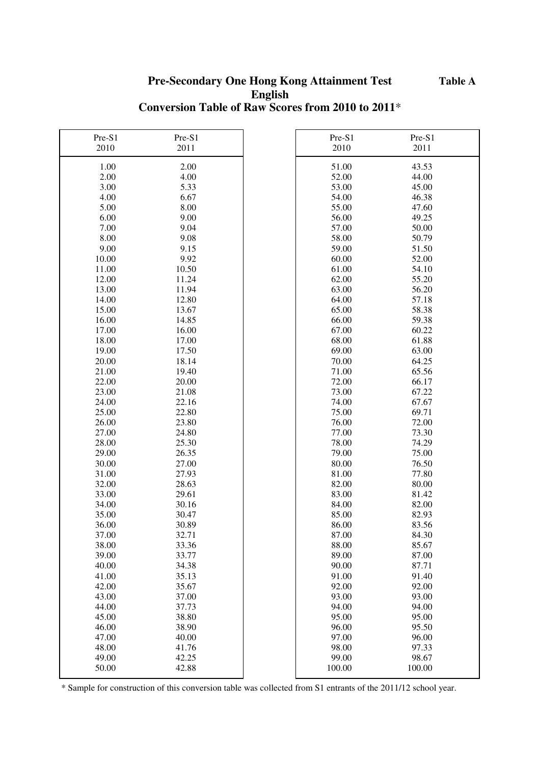#### **Pre-Secondary One Hong Kong Attainment Test English Conversion Table of Raw Scores from 2010 to 2011**\*

| Pre-S1 | Pre-S1 | Pre-S1 | Pre-S1 |
|--------|--------|--------|--------|
| 2010   | 2011   | 2010   | 2011   |
| 1.00   | 2.00   | 51.00  | 43.53  |
| 2.00   | 4.00   | 52.00  | 44.00  |
| 3.00   | 5.33   | 53.00  | 45.00  |
| 4.00   | 6.67   | 54.00  | 46.38  |
| 5.00   | 8.00   | 55.00  | 47.60  |
| 6.00   | 9.00   | 56.00  | 49.25  |
| 7.00   | 9.04   | 57.00  | 50.00  |
| 8.00   | 9.08   | 58.00  | 50.79  |
| 9.00   | 9.15   | 59.00  | 51.50  |
| 10.00  | 9.92   | 60.00  | 52.00  |
| 11.00  | 10.50  | 61.00  | 54.10  |
| 12.00  | 11.24  | 62.00  | 55.20  |
| 13.00  | 11.94  | 63.00  | 56.20  |
| 14.00  | 12.80  | 64.00  | 57.18  |
| 15.00  | 13.67  | 65.00  | 58.38  |
| 16.00  | 14.85  | 66.00  | 59.38  |
| 17.00  | 16.00  | 67.00  | 60.22  |
| 18.00  | 17.00  | 68.00  | 61.88  |
| 19.00  | 17.50  | 69.00  | 63.00  |
| 20.00  | 18.14  | 70.00  | 64.25  |
| 21.00  | 19.40  | 71.00  | 65.56  |
| 22.00  | 20.00  | 72.00  | 66.17  |
| 23.00  | 21.08  | 73.00  | 67.22  |
| 24.00  | 22.16  | 74.00  | 67.67  |
| 25.00  | 22.80  | 75.00  | 69.71  |
| 26.00  | 23.80  | 76.00  | 72.00  |
| 27.00  | 24.80  | 77.00  | 73.30  |
| 28.00  | 25.30  | 78.00  | 74.29  |
| 29.00  | 26.35  | 79.00  | 75.00  |
| 30.00  | 27.00  | 80.00  | 76.50  |
| 31.00  | 27.93  | 81.00  | 77.80  |
| 32.00  | 28.63  | 82.00  | 80.00  |
| 33.00  | 29.61  | 83.00  | 81.42  |
| 34.00  | 30.16  | 84.00  | 82.00  |
| 35.00  | 30.47  | 85.00  | 82.93  |
| 36.00  | 30.89  | 86.00  | 83.56  |
| 37.00  | 32.71  | 87.00  | 84.30  |
| 38.00  | 33.36  | 88.00  | 85.67  |
| 39.00  | 33.77  | 89.00  | 87.00  |
| 40.00  | 34.38  | 90.00  | 87.71  |
| 41.00  | 35.13  | 91.00  | 91.40  |
| 42.00  | 35.67  | 92.00  | 92.00  |
| 43.00  | 37.00  | 93.00  | 93.00  |
| 44.00  | 37.73  | 94.00  | 94.00  |
| 45.00  | 38.80  | 95.00  | 95.00  |
| 46.00  | 38.90  | 96.00  | 95.50  |
| 47.00  | 40.00  | 97.00  | 96.00  |
| 48.00  | 41.76  | 98.00  | 97.33  |
| 49.00  | 42.25  | 99.00  | 98.67  |
| 50.00  | 42.88  | 100.00 | 100.00 |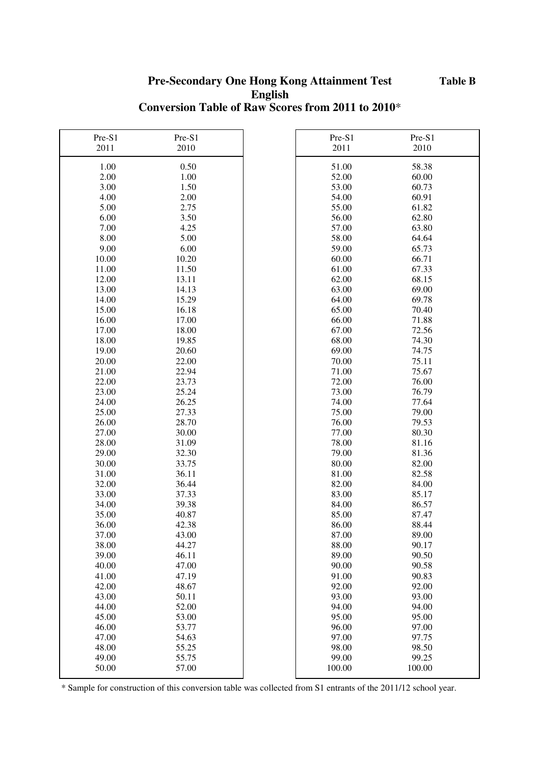#### **Pre-Secondary One Hong Kong Attainment Test English Conversion Table of Raw Scores from 2011 to 2010**\*

| Pre-S1 | Pre-S1 | Pre-S1 | Pre-S1 |
|--------|--------|--------|--------|
| 2011   | 2010   | 2011   | 2010   |
| 1.00   | 0.50   | 51.00  | 58.38  |
| 2.00   | 1.00   | 52.00  | 60.00  |
| 3.00   | 1.50   | 53.00  | 60.73  |
| 4.00   | 2.00   | 54.00  | 60.91  |
| 5.00   | 2.75   | 55.00  | 61.82  |
| 6.00   | 3.50   | 56.00  | 62.80  |
| 7.00   | 4.25   | 57.00  | 63.80  |
| 8.00   | 5.00   | 58.00  | 64.64  |
| 9.00   | 6.00   | 59.00  | 65.73  |
| 10.00  | 10.20  | 60.00  | 66.71  |
| 11.00  | 11.50  | 61.00  | 67.33  |
| 12.00  | 13.11  | 62.00  | 68.15  |
| 13.00  | 14.13  | 63.00  | 69.00  |
| 14.00  | 15.29  | 64.00  | 69.78  |
| 15.00  | 16.18  | 65.00  | 70.40  |
| 16.00  | 17.00  | 66.00  | 71.88  |
| 17.00  | 18.00  | 67.00  | 72.56  |
| 18.00  | 19.85  | 68.00  | 74.30  |
| 19.00  | 20.60  | 69.00  | 74.75  |
| 20.00  | 22.00  | 70.00  | 75.11  |
| 21.00  | 22.94  | 71.00  | 75.67  |
| 22.00  | 23.73  | 72.00  | 76.00  |
| 23.00  | 25.24  | 73.00  | 76.79  |
| 24.00  | 26.25  | 74.00  | 77.64  |
| 25.00  | 27.33  | 75.00  | 79.00  |
| 26.00  | 28.70  | 76.00  | 79.53  |
| 27.00  | 30.00  | 77.00  | 80.30  |
| 28.00  | 31.09  | 78.00  | 81.16  |
| 29.00  | 32.30  | 79.00  | 81.36  |
| 30.00  | 33.75  | 80.00  | 82.00  |
| 31.00  | 36.11  | 81.00  | 82.58  |
| 32.00  | 36.44  | 82.00  | 84.00  |
| 33.00  | 37.33  | 83.00  | 85.17  |
| 34.00  | 39.38  | 84.00  | 86.57  |
| 35.00  | 40.87  | 85.00  | 87.47  |
| 36.00  | 42.38  | 86.00  | 88.44  |
| 37.00  | 43.00  | 87.00  | 89.00  |
| 38.00  | 44.27  | 88.00  | 90.17  |
| 39.00  | 46.11  | 89.00  | 90.50  |
| 40.00  | 47.00  | 90.00  | 90.58  |
| 41.00  | 47.19  | 91.00  | 90.83  |
| 42.00  | 48.67  | 92.00  | 92.00  |
| 43.00  | 50.11  | 93.00  | 93.00  |
| 44.00  | 52.00  | 94.00  | 94.00  |
| 45.00  | 53.00  | 95.00  | 95.00  |
| 46.00  | 53.77  | 96.00  | 97.00  |
| 47.00  | 54.63  | 97.00  | 97.75  |
| 48.00  | 55.25  | 98.00  | 98.50  |
| 49.00  | 55.75  | 99.00  | 99.25  |
| 50.00  | 57.00  | 100.00 | 100.00 |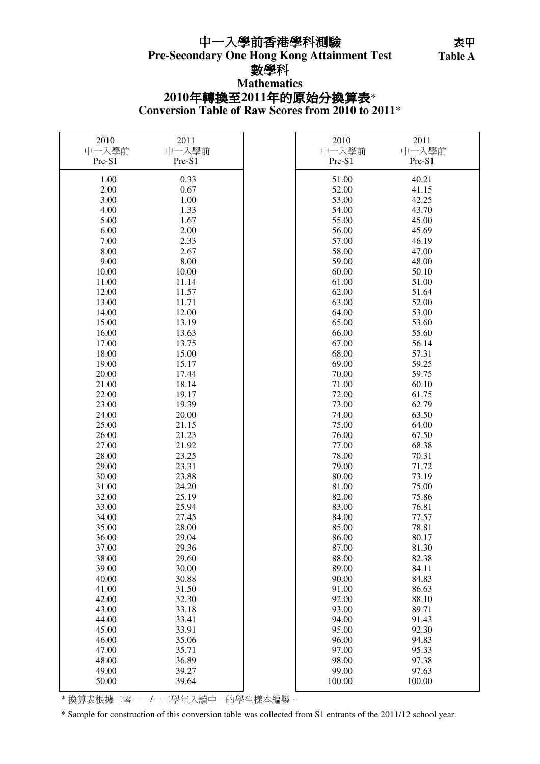#### 中一入學前香港學科測驗

Table A

## 數學科

#### **Conversion Table of Raw Scores from 2010 to 2011**\* **2010**年轉換至**2011**年的原始分換算表\* **Mathematics**

| 2010   | 2011   | 2010   | 2011   |
|--------|--------|--------|--------|
| 中一入學前  | 中一入學前  | 中一入學前  | 中一入學前  |
| Pre-S1 | Pre-S1 | Pre-S1 | Pre-S1 |
| 1.00   | 0.33   | 51.00  | 40.21  |
| 2.00   | 0.67   | 52.00  | 41.15  |
| 3.00   | 1.00   | 53.00  | 42.25  |
| 4.00   | 1.33   | 54.00  | 43.70  |
| 5.00   | 1.67   | 55.00  | 45.00  |
| 6.00   | 2.00   | 56.00  | 45.69  |
| 7.00   | 2.33   | 57.00  | 46.19  |
| 8.00   | 2.67   | 58.00  | 47.00  |
| 9.00   | 8.00   | 59.00  | 48.00  |
| 10.00  | 10.00  | 60.00  | 50.10  |
| 11.00  | 11.14  | 61.00  | 51.00  |
| 12.00  | 11.57  | 62.00  | 51.64  |
| 13.00  | 11.71  | 63.00  | 52.00  |
| 14.00  | 12.00  | 64.00  | 53.00  |
| 15.00  | 13.19  | 65.00  | 53.60  |
| 16.00  | 13.63  | 66.00  | 55.60  |
| 17.00  | 13.75  | 67.00  | 56.14  |
| 18.00  | 15.00  | 68.00  | 57.31  |
| 19.00  | 15.17  | 69.00  | 59.25  |
| 20.00  | 17.44  | 70.00  | 59.75  |
| 21.00  | 18.14  | 71.00  | 60.10  |
| 22.00  | 19.17  | 72.00  | 61.75  |
| 23.00  | 19.39  | 73.00  | 62.79  |
| 24.00  | 20.00  | 74.00  | 63.50  |
| 25.00  | 21.15  | 75.00  | 64.00  |
| 26.00  | 21.23  | 76.00  | 67.50  |
| 27.00  | 21.92  | 77.00  | 68.38  |
| 28.00  | 23.25  | 78.00  | 70.31  |
| 29.00  | 23.31  | 79.00  | 71.72  |
| 30.00  | 23.88  | 80.00  | 73.19  |
| 31.00  | 24.20  | 81.00  | 75.00  |
| 32.00  | 25.19  | 82.00  | 75.86  |
| 33.00  | 25.94  | 83.00  | 76.81  |
| 34.00  | 27.45  | 84.00  | 77.57  |
| 35.00  | 28.00  | 85.00  | 78.81  |
| 36.00  | 29.04  | 86.00  | 80.17  |
| 37.00  | 29.36  | 87.00  | 81.30  |
| 38.00  | 29.60  | 88.00  | 82.38  |
| 39.00  | 30.00  | 89.00  | 84.11  |
| 40.00  | 30.88  | 90.00  | 84.83  |
| 41.00  | 31.50  | 91.00  | 86.63  |
| 42.00  | 32.30  | 92.00  | 88.10  |
| 43.00  | 33.18  | 93.00  | 89.71  |
| 44.00  | 33.41  | 94.00  | 91.43  |
| 45.00  | 33.91  | 95.00  | 92.30  |
| 46.00  | 35.06  | 96.00  | 94.83  |
| 47.00  | 35.71  | 97.00  | 95.33  |
| 48.00  | 36.89  | 98.00  | 97.38  |
| 49.00  | 39.27  | 99.00  | 97.63  |
| 50.00  | 39.64  | 100.00 | 100.00 |

\* 換算表根據二零一一/一二學年入讀中一的學生樣本編製。